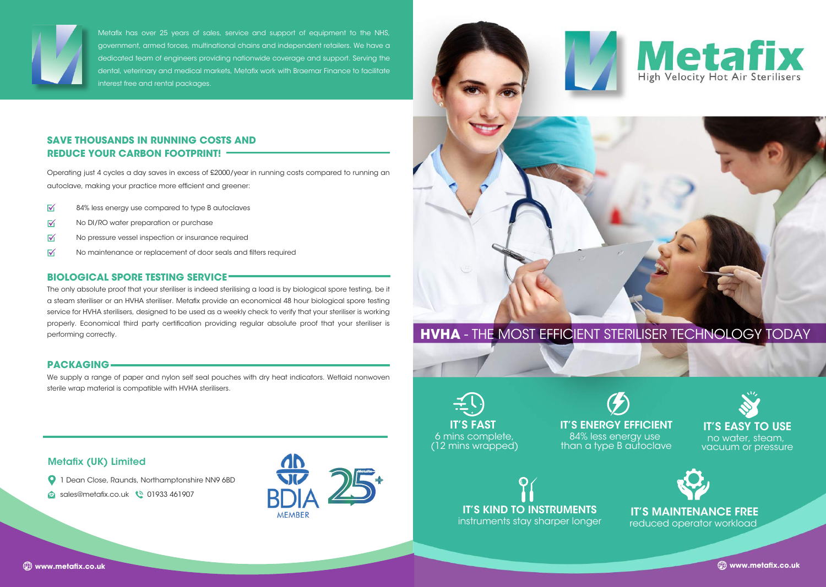# **HVHA** - THE MOST EFFICIENT STERILISER TECHNOLOGY TODAY



84% less energy use







IT'S EASY TO USE no water, steam, vacuum or pressure



#### IT'S MAINTENANCE FREE reduced operator workload



Metafix has over 25 years of sales, service and support of equipment to the NHS, government, armed forces, multinational chains and independent retailers. We have a dedicated team of engineers providing nationwide coverage and support. Serving the dental, veterinary and medical markets, Metafix work with Braemar Finance to facilitate interest free and rental packages.







Operating just 4 cycles a day saves in excess of £2000/year in running costs compared to running an autoclave, making your practice more efficient and greener:

- $\overline{\mathbf{M}}$ 84% less energy use compared to type B autoclaves
- $\overline{\mathsf{M}}$ No DI/RO water preparation or purchase
- $\overline{\mathsf{v}}$ No pressure vessel inspection or insurance required
- $\overline{\mathsf{v}}$ No maintenance or replacement of door seals and filters required

### **SAVE THOUSANDS IN RUNNING COSTS AND REDUCE YOUR CARBON FOOTPRINT!**

#### **BIOLOGICAL SPORE TESTING SERVICE**

The only absolute proof that your steriliser is indeed sterilising a load is by biological spore testing, be it a steam steriliser or an HVHA steriliser. Metafix provide an economical 48 hour biological spore testing service for HVHA sterilisers, designed to be used as a weekly check to verify that your steriliser is working properly. Economical third party certification providing regular absolute proof that your steriliser is performing correctly.

#### **PACKAGING**

We supply a range of paper and nylon self seal pouches with dry heat indicators. Wetlaid nonwoven sterile wrap material is compatible with HVHA sterilisers.

#### Metafix (UK) Limited

**Q** 1 Dean Close, Raunds, Northamptonshire NN9 6BD

**www.metax.co.uk www.metax.co.uk**